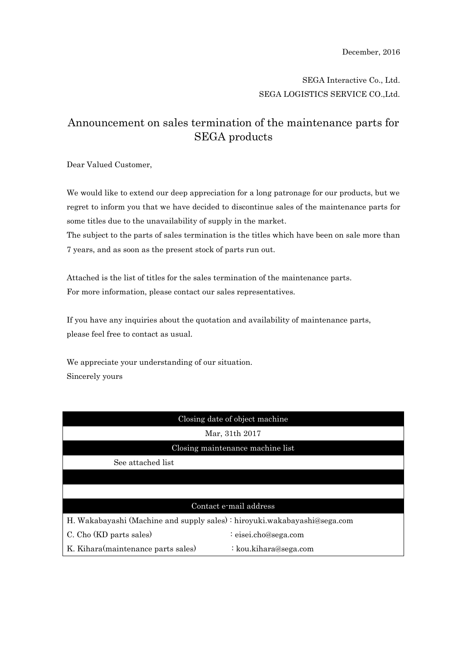## SEGA Interactive Co., Ltd. SEGA LOGISTICS SERVICE CO.,Ltd.

## Announcement on sales termination of the maintenance parts for SEGA products

Dear Valued Customer,

We would like to extend our deep appreciation for a long patronage for our products, but we regret to inform you that we have decided to discontinue sales of the maintenance parts for some titles due to the unavailability of supply in the market.

The subject to the parts of sales termination is the titles which have been on sale more than 7 years, and as soon as the present stock of parts run out.

Attached is the list of titles for the sales termination of the maintenance parts. For more information, please contact our sales representatives.

If you have any inquiries about the quotation and availability of maintenance parts, please feel free to contact as usual.

We appreciate your understanding of our situation. Sincerely yours

| Closing date of object machine                                           |                       |  |
|--------------------------------------------------------------------------|-----------------------|--|
| Mar, 31th 2017                                                           |                       |  |
| Closing maintenance machine list                                         |                       |  |
| See attached list                                                        |                       |  |
|                                                                          |                       |  |
|                                                                          |                       |  |
| Contact e-mail address                                                   |                       |  |
| H. Wakabayashi (Machine and supply sales): hiroyuki.wakabayashi@sega.com |                       |  |
| C. Cho (KD parts sales)                                                  | : eisei.cho@sega.com  |  |
| K. Kihara(maintenance parts sales)                                       | : kou.kihara@sega.com |  |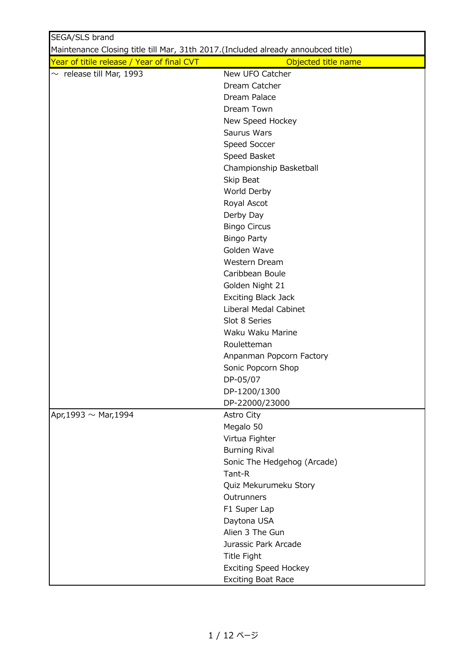| SEGA/SLS brand                                                                   |                              |
|----------------------------------------------------------------------------------|------------------------------|
| Maintenance Closing title till Mar, 31th 2017.(Included already annoubced title) |                              |
| Year of titile release / Year of final CVT                                       | Objected title name          |
| $\sim$ release till Mar, 1993                                                    | New UFO Catcher              |
|                                                                                  | Dream Catcher                |
|                                                                                  | Dream Palace                 |
|                                                                                  | Dream Town                   |
|                                                                                  | New Speed Hockey             |
|                                                                                  | Saurus Wars                  |
|                                                                                  | Speed Soccer                 |
|                                                                                  | Speed Basket                 |
|                                                                                  | Championship Basketball      |
|                                                                                  | Skip Beat                    |
|                                                                                  | World Derby                  |
|                                                                                  | Royal Ascot                  |
|                                                                                  | Derby Day                    |
|                                                                                  | <b>Bingo Circus</b>          |
|                                                                                  | <b>Bingo Party</b>           |
|                                                                                  | Golden Wave                  |
|                                                                                  | Western Dream                |
|                                                                                  | Caribbean Boule              |
|                                                                                  | Golden Night 21              |
|                                                                                  | <b>Exciting Black Jack</b>   |
|                                                                                  | Liberal Medal Cabinet        |
|                                                                                  | Slot 8 Series                |
|                                                                                  | Waku Waku Marine             |
|                                                                                  | Rouletteman                  |
|                                                                                  | Anpanman Popcorn Factory     |
|                                                                                  | Sonic Popcorn Shop           |
|                                                                                  | DP-05/07                     |
|                                                                                  | DP-1200/1300                 |
|                                                                                  | DP-22000/23000               |
| Apr, 1993 $\sim$ Mar, 1994                                                       | Astro City                   |
|                                                                                  | Megalo 50                    |
|                                                                                  | Virtua Fighter               |
|                                                                                  | <b>Burning Rival</b>         |
|                                                                                  | Sonic The Hedgehog (Arcade)  |
|                                                                                  | Tant-R                       |
|                                                                                  | Quiz Mekurumeku Story        |
|                                                                                  | Outrunners                   |
|                                                                                  | F1 Super Lap                 |
|                                                                                  | Daytona USA                  |
|                                                                                  | Alien 3 The Gun              |
|                                                                                  | Jurassic Park Arcade         |
|                                                                                  | <b>Title Fight</b>           |
|                                                                                  | <b>Exciting Speed Hockey</b> |
|                                                                                  | <b>Exciting Boat Race</b>    |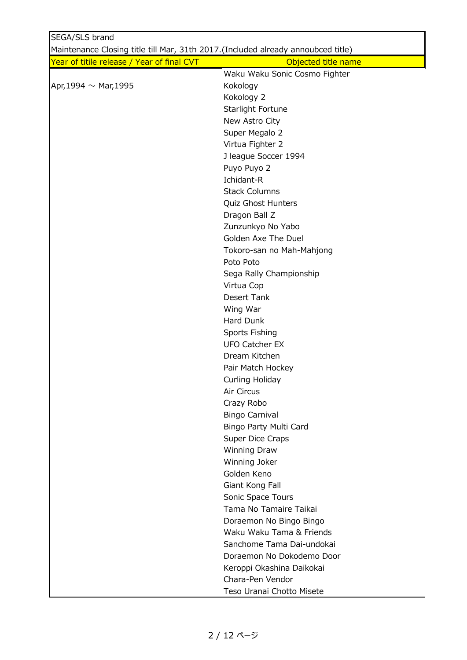| SEGA/SLS brand                                                                    |                               |
|-----------------------------------------------------------------------------------|-------------------------------|
| Maintenance Closing title till Mar, 31th 2017. (Included already annoubced title) |                               |
| Year of titile release / Year of final CVT                                        | Objected title name           |
|                                                                                   | Waku Waku Sonic Cosmo Fighter |
| Apr, 1994 $\sim$ Mar, 1995                                                        | Kokology                      |
|                                                                                   | Kokology 2                    |
|                                                                                   | Starlight Fortune             |
|                                                                                   | New Astro City                |
|                                                                                   | Super Megalo 2                |
|                                                                                   | Virtua Fighter 2              |
|                                                                                   | J league Soccer 1994          |
|                                                                                   | Puyo Puyo 2                   |
|                                                                                   | Ichidant-R                    |
|                                                                                   | <b>Stack Columns</b>          |
|                                                                                   | Quiz Ghost Hunters            |
|                                                                                   | Dragon Ball Z                 |
|                                                                                   | Zunzunkyo No Yabo             |
|                                                                                   | Golden Axe The Duel           |
|                                                                                   | Tokoro-san no Mah-Mahjong     |
|                                                                                   | Poto Poto                     |
|                                                                                   | Sega Rally Championship       |
|                                                                                   | Virtua Cop                    |
|                                                                                   | Desert Tank                   |
|                                                                                   | Wing War                      |
|                                                                                   | Hard Dunk                     |
|                                                                                   | Sports Fishing                |
|                                                                                   | <b>UFO Catcher EX</b>         |
|                                                                                   | Dream Kitchen                 |
|                                                                                   | Pair Match Hockey             |
|                                                                                   | Curling Holiday               |
|                                                                                   | Air Circus                    |
|                                                                                   | Crazy Robo                    |
|                                                                                   | <b>Bingo Carnival</b>         |
|                                                                                   | Bingo Party Multi Card        |
|                                                                                   | Super Dice Craps              |
|                                                                                   | Winning Draw                  |
|                                                                                   | Winning Joker                 |
|                                                                                   | Golden Keno                   |
|                                                                                   | Giant Kong Fall               |
|                                                                                   | Sonic Space Tours             |
|                                                                                   | Tama No Tamaire Taikai        |
|                                                                                   | Doraemon No Bingo Bingo       |
|                                                                                   | Waku Waku Tama & Friends      |
|                                                                                   | Sanchome Tama Dai-undokai     |
|                                                                                   | Doraemon No Dokodemo Door     |
|                                                                                   | Keroppi Okashina Daikokai     |
|                                                                                   | Chara-Pen Vendor              |
|                                                                                   | Teso Uranai Chotto Misete     |
|                                                                                   |                               |

2 / 12 ページ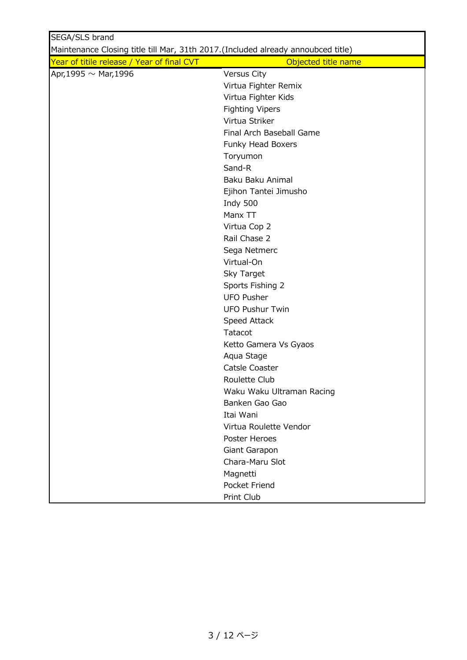| SEGA/SLS brand                                                                   |                           |
|----------------------------------------------------------------------------------|---------------------------|
| Maintenance Closing title till Mar, 31th 2017.(Included already annoubced title) |                           |
| Year of titile release / Year of final CVT                                       | Objected title name       |
| Apr, 1995 $\sim$ Mar, 1996                                                       | Versus City               |
|                                                                                  | Virtua Fighter Remix      |
|                                                                                  | Virtua Fighter Kids       |
|                                                                                  | <b>Fighting Vipers</b>    |
|                                                                                  | Virtua Striker            |
|                                                                                  | Final Arch Baseball Game  |
|                                                                                  | Funky Head Boxers         |
|                                                                                  | Toryumon                  |
|                                                                                  | Sand-R                    |
|                                                                                  | Baku Baku Animal          |
|                                                                                  | Ejihon Tantei Jimusho     |
|                                                                                  | Indy 500                  |
|                                                                                  | Manx TT                   |
|                                                                                  | Virtua Cop 2              |
|                                                                                  | Rail Chase 2              |
|                                                                                  | Sega Netmerc              |
|                                                                                  | Virtual-On                |
|                                                                                  | Sky Target                |
|                                                                                  | Sports Fishing 2          |
|                                                                                  | <b>UFO Pusher</b>         |
|                                                                                  | <b>UFO Pushur Twin</b>    |
|                                                                                  | Speed Attack              |
|                                                                                  | Tatacot                   |
|                                                                                  | Ketto Gamera Vs Gyaos     |
|                                                                                  | Aqua Stage                |
|                                                                                  | Catsle Coaster            |
|                                                                                  | Roulette Club             |
|                                                                                  | Waku Waku Ultraman Racing |
|                                                                                  | Banken Gao Gao            |
|                                                                                  | Itai Wani                 |
|                                                                                  | Virtua Roulette Vendor    |
|                                                                                  | Poster Heroes             |
|                                                                                  | Giant Garapon             |
|                                                                                  | Chara-Maru Slot           |
|                                                                                  | Magnetti                  |
|                                                                                  | Pocket Friend             |
|                                                                                  | Print Club                |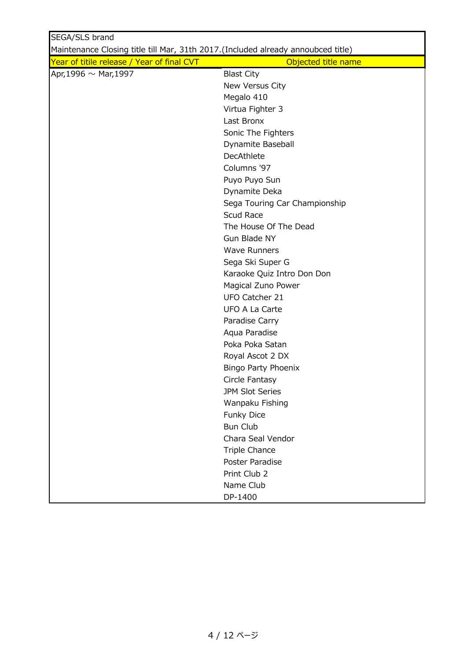| SEGA/SLS brand                                                                   |                               |
|----------------------------------------------------------------------------------|-------------------------------|
| Maintenance Closing title till Mar, 31th 2017.(Included already annoubced title) |                               |
| Year of titile release / Year of final CVT                                       | Objected title name           |
| Apr, 1996 $\sim$ Mar, 1997                                                       | <b>Blast City</b>             |
|                                                                                  | New Versus City               |
|                                                                                  | Megalo 410                    |
|                                                                                  | Virtua Fighter 3              |
|                                                                                  | Last Bronx                    |
|                                                                                  | Sonic The Fighters            |
|                                                                                  | Dynamite Baseball             |
|                                                                                  | <b>DecAthlete</b>             |
|                                                                                  | Columns '97                   |
|                                                                                  | Puyo Puyo Sun                 |
|                                                                                  | Dynamite Deka                 |
|                                                                                  | Sega Touring Car Championship |
|                                                                                  | Scud Race                     |
|                                                                                  | The House Of The Dead         |
|                                                                                  | Gun Blade NY                  |
|                                                                                  | <b>Wave Runners</b>           |
|                                                                                  | Sega Ski Super G              |
|                                                                                  | Karaoke Quiz Intro Don Don    |
|                                                                                  | Magical Zuno Power            |
|                                                                                  | UFO Catcher 21                |
|                                                                                  | <b>UFO A La Carte</b>         |
|                                                                                  | Paradise Carry                |
|                                                                                  | Aqua Paradise                 |
|                                                                                  | Poka Poka Satan               |
|                                                                                  | Royal Ascot 2 DX              |
|                                                                                  | Bingo Party Phoenix           |
|                                                                                  | Circle Fantasy                |
|                                                                                  | JPM Slot Series               |
|                                                                                  | Wanpaku Fishing               |
|                                                                                  | Funky Dice                    |
|                                                                                  | <b>Bun Club</b>               |
|                                                                                  | Chara Seal Vendor             |
|                                                                                  | <b>Triple Chance</b>          |
|                                                                                  | Poster Paradise               |
|                                                                                  | Print Club 2                  |
|                                                                                  | Name Club                     |
|                                                                                  | DP-1400                       |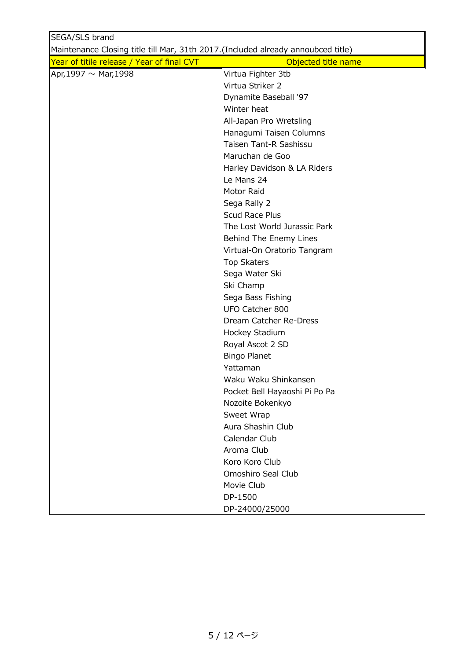| SEGA/SLS brand                                                                    |                               |
|-----------------------------------------------------------------------------------|-------------------------------|
| Maintenance Closing title till Mar, 31th 2017. (Included already annoubced title) |                               |
| Year of titile release / Year of final CVT                                        | Objected title name           |
| Apr, 1997 $\sim$ Mar, 1998                                                        | Virtua Fighter 3tb            |
|                                                                                   | Virtua Striker 2              |
|                                                                                   | Dynamite Baseball '97         |
|                                                                                   | Winter heat                   |
|                                                                                   | All-Japan Pro Wretsling       |
|                                                                                   | Hanagumi Taisen Columns       |
|                                                                                   | Taisen Tant-R Sashissu        |
|                                                                                   | Maruchan de Goo               |
|                                                                                   | Harley Davidson & LA Riders   |
|                                                                                   | Le Mans 24                    |
|                                                                                   | Motor Raid                    |
|                                                                                   | Sega Rally 2                  |
|                                                                                   | Scud Race Plus                |
|                                                                                   | The Lost World Jurassic Park  |
|                                                                                   | Behind The Enemy Lines        |
|                                                                                   | Virtual-On Oratorio Tangram   |
|                                                                                   | <b>Top Skaters</b>            |
|                                                                                   | Sega Water Ski                |
|                                                                                   | Ski Champ                     |
|                                                                                   | Sega Bass Fishing             |
|                                                                                   | UFO Catcher 800               |
|                                                                                   | Dream Catcher Re-Dress        |
|                                                                                   | Hockey Stadium                |
|                                                                                   | Royal Ascot 2 SD              |
|                                                                                   | <b>Bingo Planet</b>           |
|                                                                                   | Yattaman                      |
|                                                                                   | Waku Waku Shinkansen          |
|                                                                                   | Pocket Bell Hayaoshi Pi Po Pa |
|                                                                                   | Nozoite Bokenkyo              |
|                                                                                   | Sweet Wrap                    |
|                                                                                   | Aura Shashin Club             |
|                                                                                   | Calendar Club                 |
|                                                                                   | Aroma Club                    |
|                                                                                   | Koro Koro Club                |
|                                                                                   | Omoshiro Seal Club            |
|                                                                                   | Movie Club                    |
|                                                                                   | DP-1500                       |
|                                                                                   | DP-24000/25000                |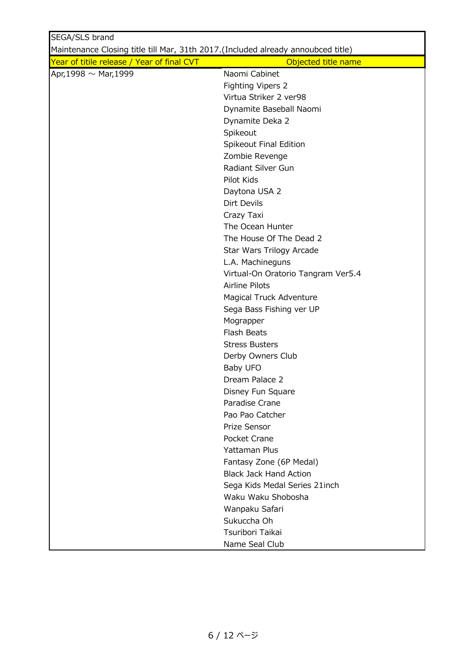| SEGA/SLS brand                                                                   |                                    |
|----------------------------------------------------------------------------------|------------------------------------|
| Maintenance Closing title till Mar, 31th 2017.(Included already annoubced title) |                                    |
| Year of titile release / Year of final CVT                                       | Objected title name                |
| Apr, 1998 $\sim$ Mar, 1999                                                       | Naomi Cabinet                      |
|                                                                                  | Fighting Vipers 2                  |
|                                                                                  | Virtua Striker 2 ver98             |
|                                                                                  | Dynamite Baseball Naomi            |
|                                                                                  | Dynamite Deka 2                    |
|                                                                                  | Spikeout                           |
|                                                                                  | Spikeout Final Edition             |
|                                                                                  | Zombie Revenge                     |
|                                                                                  | Radiant Silver Gun                 |
|                                                                                  | Pilot Kids                         |
|                                                                                  | Daytona USA 2                      |
|                                                                                  | Dirt Devils                        |
|                                                                                  | Crazy Taxi                         |
|                                                                                  | The Ocean Hunter                   |
|                                                                                  | The House Of The Dead 2            |
|                                                                                  | Star Wars Trilogy Arcade           |
|                                                                                  | L.A. Machineguns                   |
|                                                                                  | Virtual-On Oratorio Tangram Ver5.4 |
|                                                                                  | Airline Pilots                     |
|                                                                                  | Magical Truck Adventure            |
|                                                                                  | Sega Bass Fishing ver UP           |
|                                                                                  | Mograpper                          |
|                                                                                  | Flash Beats                        |
|                                                                                  | <b>Stress Busters</b>              |
|                                                                                  | Derby Owners Club                  |
|                                                                                  | Baby UFO                           |
|                                                                                  | Dream Palace 2                     |
|                                                                                  | Disney Fun Square                  |
|                                                                                  | Paradise Crane                     |
|                                                                                  | Pao Pao Catcher                    |
|                                                                                  | Prize Sensor                       |
|                                                                                  | Pocket Crane                       |
|                                                                                  | Yattaman Plus                      |
|                                                                                  | Fantasy Zone (6P Medal)            |
|                                                                                  | <b>Black Jack Hand Action</b>      |
|                                                                                  | Sega Kids Medal Series 21inch      |
|                                                                                  | Waku Waku Shobosha                 |
|                                                                                  | Wanpaku Safari                     |
|                                                                                  | Sukuccha Oh                        |
|                                                                                  | Tsuribori Taikai                   |
|                                                                                  | Name Seal Club                     |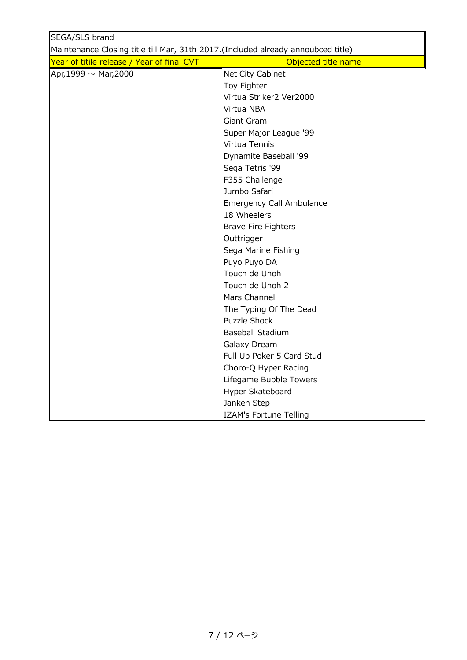| SEGA/SLS brand                                                                    |                            |
|-----------------------------------------------------------------------------------|----------------------------|
| Maintenance Closing title till Mar, 31th 2017. (Included already annoubced title) |                            |
| Year of titile release / Year of final CVT                                        | Objected title name        |
| Apr, 1999 $\sim$ Mar, 2000                                                        | Net City Cabinet           |
|                                                                                   | Toy Fighter                |
|                                                                                   | Virtua Striker2 Ver2000    |
|                                                                                   | Virtua NBA                 |
|                                                                                   | Giant Gram                 |
|                                                                                   | Super Major League '99     |
|                                                                                   | Virtua Tennis              |
|                                                                                   | Dynamite Baseball '99      |
|                                                                                   | Sega Tetris '99            |
|                                                                                   | F355 Challenge             |
|                                                                                   | Jumbo Safari               |
|                                                                                   | Emergency Call Ambulance   |
|                                                                                   | 18 Wheelers                |
|                                                                                   | <b>Brave Fire Fighters</b> |
|                                                                                   | Outtrigger                 |
|                                                                                   | Sega Marine Fishing        |
|                                                                                   | Puyo Puyo DA               |
|                                                                                   | Touch de Unoh              |
|                                                                                   | Touch de Unoh 2            |
|                                                                                   | Mars Channel               |
|                                                                                   | The Typing Of The Dead     |
|                                                                                   | <b>Puzzle Shock</b>        |
|                                                                                   | <b>Baseball Stadium</b>    |
|                                                                                   | Galaxy Dream               |
|                                                                                   | Full Up Poker 5 Card Stud  |
|                                                                                   | Choro-Q Hyper Racing       |
|                                                                                   | Lifegame Bubble Towers     |
|                                                                                   | Hyper Skateboard           |
|                                                                                   | Janken Step                |
|                                                                                   | IZAM's Fortune Telling     |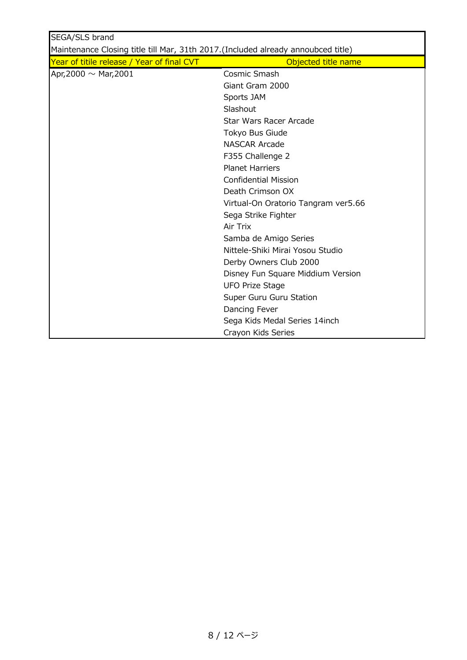| SEGA/SLS brand                                                                    |                                     |
|-----------------------------------------------------------------------------------|-------------------------------------|
| Maintenance Closing title till Mar, 31th 2017. (Included already annoubced title) |                                     |
| Year of titile release / Year of final CVT                                        | Objected title name                 |
| Apr, 2000 $\sim$ Mar, 2001                                                        | Cosmic Smash                        |
|                                                                                   | Giant Gram 2000                     |
|                                                                                   | Sports JAM                          |
|                                                                                   | Slashout                            |
|                                                                                   | Star Wars Racer Arcade              |
|                                                                                   | Tokyo Bus Giude                     |
|                                                                                   | <b>NASCAR Arcade</b>                |
|                                                                                   | F355 Challenge 2                    |
|                                                                                   | <b>Planet Harriers</b>              |
|                                                                                   | <b>Confidential Mission</b>         |
|                                                                                   | Death Crimson OX                    |
|                                                                                   | Virtual-On Oratorio Tangram ver5.66 |
|                                                                                   | Sega Strike Fighter                 |
|                                                                                   | Air Trix                            |
|                                                                                   | Samba de Amigo Series               |
|                                                                                   | Nittele-Shiki Mirai Yosou Studio    |
|                                                                                   | Derby Owners Club 2000              |
|                                                                                   | Disney Fun Square Middium Version   |
|                                                                                   | <b>UFO Prize Stage</b>              |
|                                                                                   | Super Guru Guru Station             |
|                                                                                   | Dancing Fever                       |
|                                                                                   | Sega Kids Medal Series 14inch       |
|                                                                                   | Crayon Kids Series                  |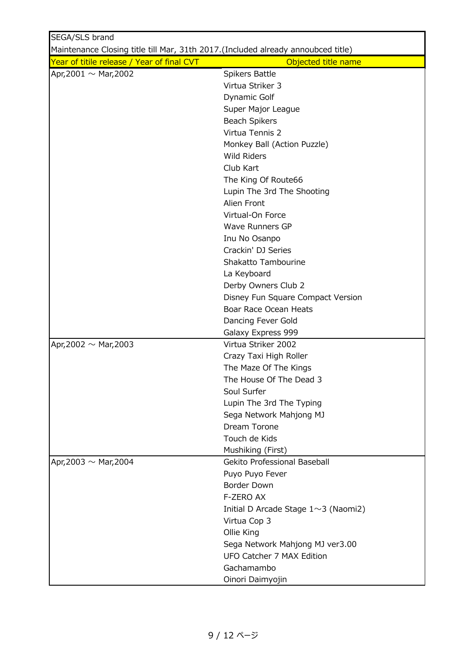| SEGA/SLS brand                                                                    |                                            |  |
|-----------------------------------------------------------------------------------|--------------------------------------------|--|
| Maintenance Closing title till Mar, 31th 2017. (Included already annoubced title) |                                            |  |
| Year of titile release / Year of final CVT                                        | Objected title name                        |  |
| Apr, 2001 $\sim$ Mar, 2002                                                        | Spikers Battle                             |  |
|                                                                                   | Virtua Striker 3                           |  |
|                                                                                   | Dynamic Golf                               |  |
|                                                                                   | Super Major League                         |  |
|                                                                                   | <b>Beach Spikers</b>                       |  |
|                                                                                   | Virtua Tennis 2                            |  |
|                                                                                   | Monkey Ball (Action Puzzle)                |  |
|                                                                                   | <b>Wild Riders</b>                         |  |
|                                                                                   | Club Kart                                  |  |
|                                                                                   | The King Of Route66                        |  |
|                                                                                   | Lupin The 3rd The Shooting                 |  |
|                                                                                   | Alien Front                                |  |
|                                                                                   | Virtual-On Force                           |  |
|                                                                                   | <b>Wave Runners GP</b>                     |  |
|                                                                                   | Inu No Osanpo                              |  |
|                                                                                   | Crackin' DJ Series                         |  |
|                                                                                   | Shakatto Tambourine                        |  |
|                                                                                   | La Keyboard                                |  |
|                                                                                   | Derby Owners Club 2                        |  |
|                                                                                   | Disney Fun Square Compact Version          |  |
|                                                                                   | Boar Race Ocean Heats                      |  |
|                                                                                   | Dancing Fever Gold                         |  |
|                                                                                   | Galaxy Express 999                         |  |
| Apr, 2002 $\sim$ Mar, 2003                                                        | Virtua Striker 2002                        |  |
|                                                                                   | Crazy Taxi High Roller                     |  |
|                                                                                   | The Maze Of The Kings                      |  |
|                                                                                   | The House Of The Dead 3                    |  |
|                                                                                   | Soul Surfer                                |  |
|                                                                                   | Lupin The 3rd The Typing                   |  |
|                                                                                   | Sega Network Mahjong MJ                    |  |
|                                                                                   | Dream Torone                               |  |
|                                                                                   | Touch de Kids                              |  |
|                                                                                   | Mushiking (First)                          |  |
| Apr, 2003 $\sim$ Mar, 2004                                                        | Gekito Professional Baseball               |  |
|                                                                                   | Puyo Puyo Fever<br>Border Down             |  |
|                                                                                   | F-ZERO AX                                  |  |
|                                                                                   |                                            |  |
|                                                                                   | Initial D Arcade Stage $1 \sim 3$ (Naomi2) |  |
|                                                                                   | Virtua Cop 3                               |  |
|                                                                                   | Ollie King                                 |  |
|                                                                                   | Sega Network Mahjong MJ ver3.00            |  |
|                                                                                   | UFO Catcher 7 MAX Edition                  |  |
|                                                                                   | Gachamambo                                 |  |
|                                                                                   | Oinori Daimyojin                           |  |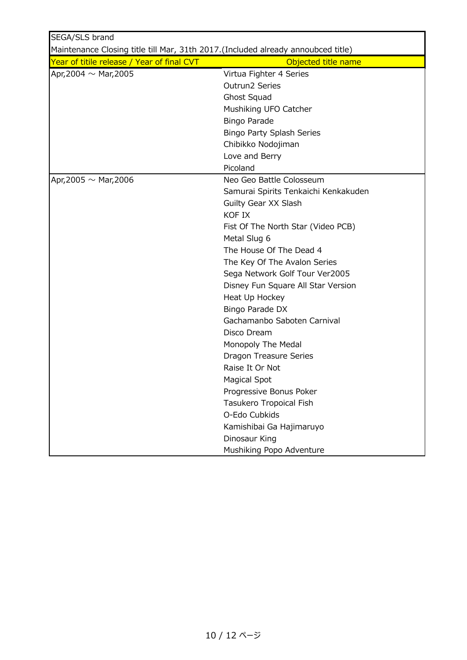| SEGA/SLS brand                                                                    |                                      |
|-----------------------------------------------------------------------------------|--------------------------------------|
| Maintenance Closing title till Mar, 31th 2017. (Included already annoubced title) |                                      |
| Year of titile release / Year of final CVT                                        | Objected title name                  |
| Apr, 2004 $\sim$ Mar, 2005                                                        | Virtua Fighter 4 Series              |
|                                                                                   | Outrun2 Series                       |
|                                                                                   | Ghost Squad                          |
|                                                                                   | Mushiking UFO Catcher                |
|                                                                                   | <b>Bingo Parade</b>                  |
|                                                                                   | <b>Bingo Party Splash Series</b>     |
|                                                                                   | Chibikko Nodojiman                   |
|                                                                                   | Love and Berry                       |
|                                                                                   | Picoland                             |
| Apr, 2005 $\sim$ Mar, 2006                                                        | Neo Geo Battle Colosseum             |
|                                                                                   | Samurai Spirits Tenkaichi Kenkakuden |
|                                                                                   | Guilty Gear XX Slash                 |
|                                                                                   | <b>KOF IX</b>                        |
|                                                                                   | Fist Of The North Star (Video PCB)   |
|                                                                                   | Metal Slug 6                         |
|                                                                                   | The House Of The Dead 4              |
|                                                                                   | The Key Of The Avalon Series         |
|                                                                                   | Sega Network Golf Tour Ver2005       |
|                                                                                   | Disney Fun Square All Star Version   |
|                                                                                   | Heat Up Hockey                       |
|                                                                                   | Bingo Parade DX                      |
|                                                                                   | Gachamanbo Saboten Carnival          |
|                                                                                   | Disco Dream                          |
|                                                                                   | Monopoly The Medal                   |
|                                                                                   | Dragon Treasure Series               |
|                                                                                   | Raise It Or Not                      |
|                                                                                   | Magical Spot                         |
|                                                                                   | Progressive Bonus Poker              |
|                                                                                   | Tasukero Tropoical Fish              |
|                                                                                   | O-Edo Cubkids                        |
|                                                                                   | Kamishibai Ga Hajimaruyo             |
|                                                                                   | Dinosaur King                        |
|                                                                                   | Mushiking Popo Adventure             |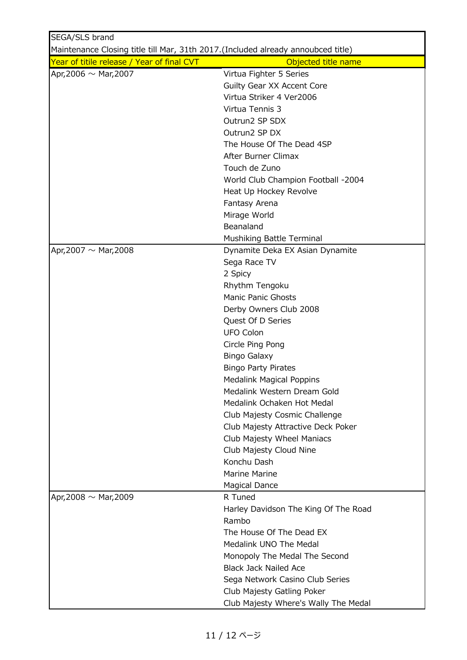| SEGA/SLS brand                                                                   |                                                                |
|----------------------------------------------------------------------------------|----------------------------------------------------------------|
| Maintenance Closing title till Mar, 31th 2017.(Included already annoubced title) |                                                                |
| Year of titile release / Year of final CVT                                       | Objected title name                                            |
| Apr, 2006 $\sim$ Mar, 2007                                                       | Virtua Fighter 5 Series                                        |
|                                                                                  | Guilty Gear XX Accent Core                                     |
|                                                                                  | Virtua Striker 4 Ver2006                                       |
|                                                                                  | Virtua Tennis 3                                                |
|                                                                                  | Outrun2 SP SDX                                                 |
|                                                                                  | Outrun2 SP DX                                                  |
|                                                                                  | The House Of The Dead 4SP                                      |
|                                                                                  | After Burner Climax                                            |
|                                                                                  | Touch de Zuno                                                  |
|                                                                                  | World Club Champion Football -2004                             |
|                                                                                  | Heat Up Hockey Revolve                                         |
|                                                                                  | Fantasy Arena                                                  |
|                                                                                  | Mirage World                                                   |
|                                                                                  | Beanaland                                                      |
|                                                                                  | Mushiking Battle Terminal                                      |
| Apr, 2007 $\sim$ Mar, 2008                                                       | Dynamite Deka EX Asian Dynamite                                |
|                                                                                  | Sega Race TV                                                   |
|                                                                                  | 2 Spicy                                                        |
|                                                                                  | Rhythm Tengoku                                                 |
|                                                                                  | <b>Manic Panic Ghosts</b>                                      |
|                                                                                  | Derby Owners Club 2008                                         |
|                                                                                  | Quest Of D Series                                              |
|                                                                                  | <b>UFO Colon</b>                                               |
|                                                                                  | Circle Ping Pong                                               |
|                                                                                  | <b>Bingo Galaxy</b>                                            |
|                                                                                  | <b>Bingo Party Pirates</b>                                     |
|                                                                                  |                                                                |
|                                                                                  | <b>Medalink Magical Poppins</b><br>Medalink Western Dream Gold |
|                                                                                  | Medalink Ochaken Hot Medal                                     |
|                                                                                  |                                                                |
|                                                                                  | Club Majesty Cosmic Challenge                                  |
|                                                                                  | Club Majesty Attractive Deck Poker                             |
|                                                                                  | Club Majesty Wheel Maniacs                                     |
|                                                                                  | Club Majesty Cloud Nine                                        |
|                                                                                  | Konchu Dash                                                    |
|                                                                                  | Marine Marine                                                  |
|                                                                                  | <b>Magical Dance</b>                                           |
| Apr, 2008 $\sim$ Mar, 2009                                                       | R Tuned                                                        |
|                                                                                  | Harley Davidson The King Of The Road                           |
|                                                                                  | Rambo                                                          |
|                                                                                  | The House Of The Dead EX                                       |
|                                                                                  | Medalink UNO The Medal                                         |
|                                                                                  | Monopoly The Medal The Second                                  |
|                                                                                  | <b>Black Jack Nailed Ace</b>                                   |
|                                                                                  | Sega Network Casino Club Series                                |
|                                                                                  | Club Majesty Gatling Poker                                     |
|                                                                                  | Club Majesty Where's Wally The Medal                           |